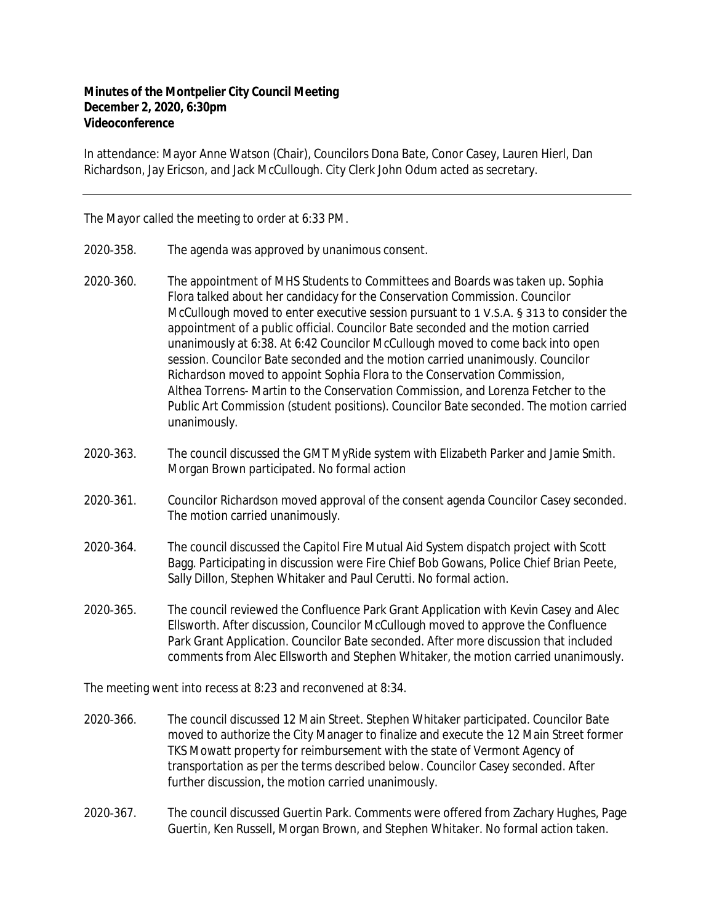## **Minutes of the Montpelier City Council Meeting December 2, 2020, 6:30pm Videoconference**

In attendance: Mayor Anne Watson (Chair), Councilors Dona Bate, Conor Casey, Lauren Hierl, Dan Richardson, Jay Ericson, and Jack McCullough. City Clerk John Odum acted as secretary.

The Mayor called the meeting to order at 6:33 PM.

- 2020‐358. The agenda was approved by unanimous consent.
- 2020‐360. The appointment of MHS Students to Committees and Boards was taken up. Sophia Flora talked about her candidacy for the Conservation Commission. Councilor McCullough moved to enter executive session pursuant to 1 V.S.A. § 313 to consider the appointment of a public official. Councilor Bate seconded and the motion carried unanimously at 6:38. At 6:42 Councilor McCullough moved to come back into open session. Councilor Bate seconded and the motion carried unanimously. Councilor Richardson moved to appoint Sophia Flora to the Conservation Commission, Althea Torrens- Martin to the Conservation Commission, and Lorenza Fetcher to the Public Art Commission (student positions). Councilor Bate seconded. The motion carried unanimously.
- 2020‐363. The council discussed the GMT MyRide system with Elizabeth Parker and Jamie Smith. Morgan Brown participated. No formal action
- 2020‐361. Councilor Richardson moved approval of the consent agenda Councilor Casey seconded. The motion carried unanimously.
- 2020‐364. The council discussed the Capitol Fire Mutual Aid System dispatch project with Scott Bagg. Participating in discussion were Fire Chief Bob Gowans, Police Chief Brian Peete, Sally Dillon, Stephen Whitaker and Paul Cerutti. No formal action.
- 2020‐365. The council reviewed the Confluence Park Grant Application with Kevin Casey and Alec Ellsworth. After discussion, Councilor McCullough moved to approve the Confluence Park Grant Application. Councilor Bate seconded. After more discussion that included comments from Alec Ellsworth and Stephen Whitaker, the motion carried unanimously.

The meeting went into recess at 8:23 and reconvened at 8:34.

- 2020‐366. The council discussed 12 Main Street. Stephen Whitaker participated. Councilor Bate moved to authorize the City Manager to finalize and execute the 12 Main Street former TKS Mowatt property for reimbursement with the state of Vermont Agency of transportation as per the terms described below. Councilor Casey seconded. After further discussion, the motion carried unanimously.
- 2020‐367. The council discussed Guertin Park. Comments were offered from Zachary Hughes, Page Guertin, Ken Russell, Morgan Brown, and Stephen Whitaker. No formal action taken.